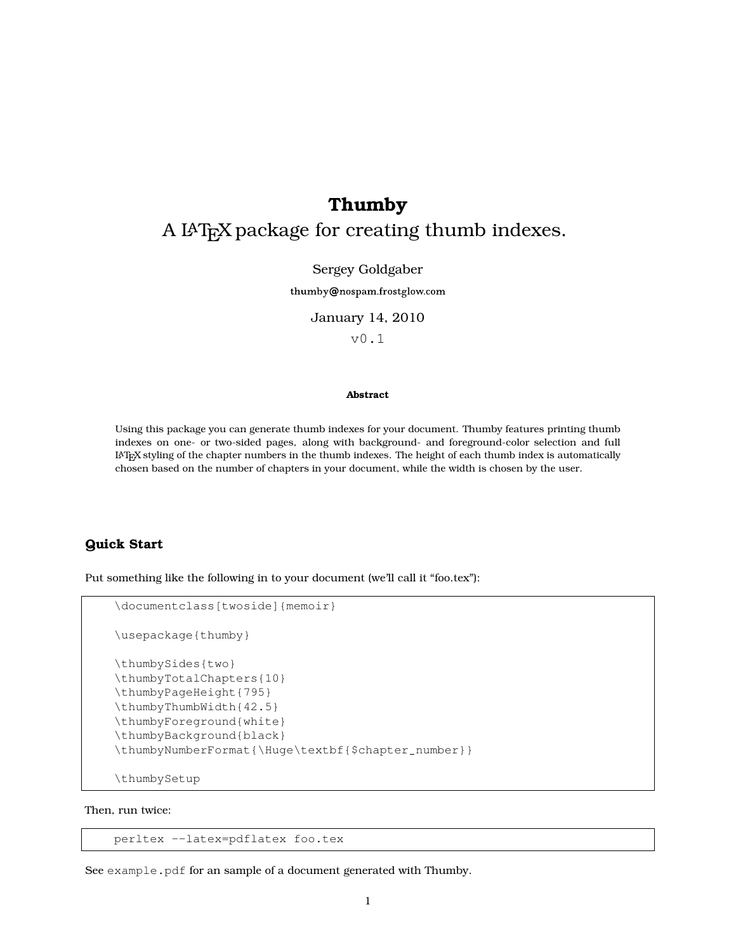# **Thumby**

# A L<sup>A</sup>T<sub>E</sub>X package for creating thumb indexes.

### Sergey Goldgaber

thumby@nospam.frostglow.com

#### January 14, 2010

v0.1

### **Abstract**

Using this package you can generate thumb indexes for your document. Thumby features printing thumb indexes on one- or two-sided pages, along with background- and foreground-color selection and full <sup>L</sup>aTEX styling of the chapter numbers in the thumb indexes. The height of each thumb index is automatically chosen based on the number of chapters in your document, while the width is chosen by the user.

# **Quick Start**

Put something like the following in to your document (we'll call it "foo.tex"):

```
\documentclass[twoside]{memoir}
\usepackage{thumby}
\thumbySides{two}
\thumbyTotalChapters{10}
\thumbyPageHeight{795}
\thumbyThumbWidth{42.5}
\thumbyForeground{white}
\thumbyBackground{black}
\thumbyNumberFormat{\Huge\textbf{$chapter_number}}
\thumbySetup
```
Then, run twice:

perltex --latex=pdflatex foo.tex

See example.pdf for an sample of a document generated with Thumby.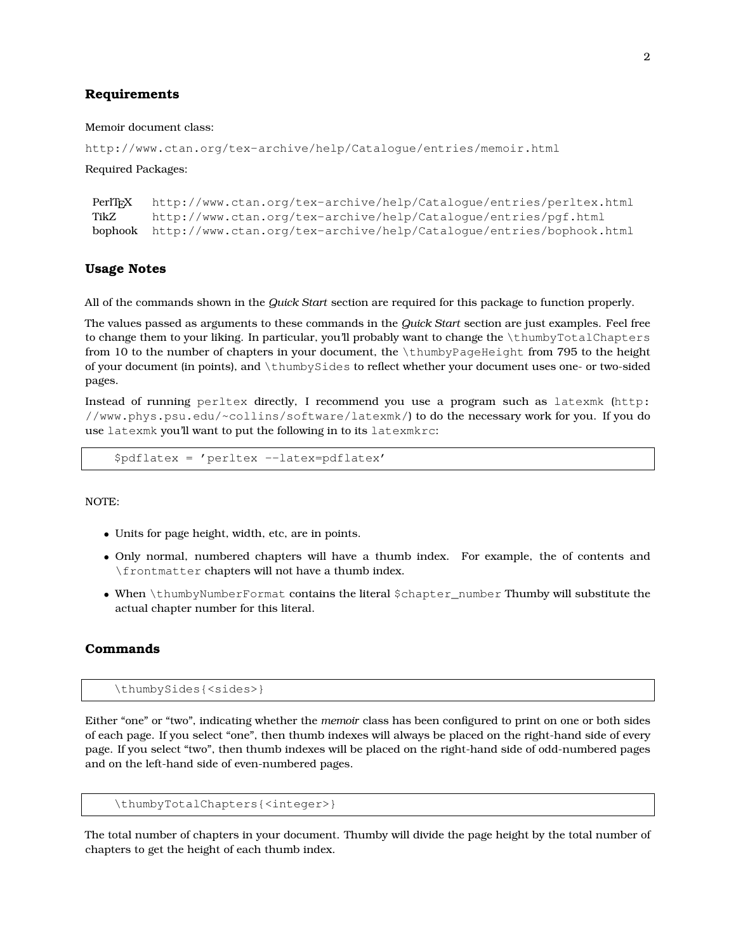# **Requirements**

#### Memoir document class:

```
http://www.ctan.org/tex-archive/help/Catalogue/entries/memoir.html
```
Required Packages:

```
PerlT<sub>EX</sub> http://www.ctan.org/tex-archive/help/Catalogue/entries/perltex.html<br>TikZ http://www.ctan.org/tex-archive/help/Catalogue/entries/pgf.html
           http://www.ctan.org/tex-archive/help/Catalogue/entries/pgf.html
bophook http://www.ctan.org/tex-archive/help/Catalogue/entries/bophook.html
```
# **Usage Notes**

All of the commands shown in the *Quick Start* section are required for this package to function properly.

The values passed as arguments to these commands in the *Quick Start* section are just examples. Feel free to change them to your liking. In particular, you'll probably want to change the \thumbyTotalChapters from 10 to the number of chapters in your document, the \thumbyPageHeight from 795 to the height of your document (in points), and \thumbySides to reflect whether your document uses one- or two-sided pages.

Instead of running perltex directly, I recommend you use a program such as latexmk (http: //www.phys.psu.edu/~collins/software/latexmk/) to do the necessary work for you. If you do use latexmk you'll want to put the following in to its latexmkrc:

\$pdflatex = 'perltex --latex=pdflatex'

NOTE:

- Units for page height, width, etc, are in points.
- Only normal, numbered chapters will have a thumb index. For example, the of contents and \frontmatter chapters will not have a thumb index.
- When \thumbyNumberFormat contains the literal \$chapter\_number Thumby will substitute the actual chapter number for this literal.

# **Commands**

\thumbySides{<sides>}

Either "one" or "two", indicating whether the *memoir* class has been configured to print on one or both sides of each page. If you select "one", then thumb indexes will always be placed on the right-hand side of every page. If you select "two", then thumb indexes will be placed on the right-hand side of odd-numbered pages and on the left-hand side of even-numbered pages.

```
\thumbyTotalChapters{<integer>}
```
The total number of chapters in your document. Thumby will divide the page height by the total number of chapters to get the height of each thumb index.